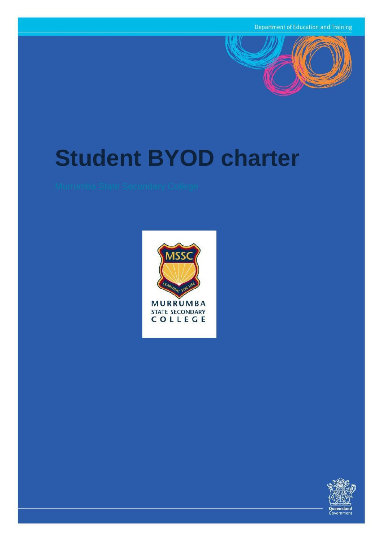

# **Student BYOD charter**



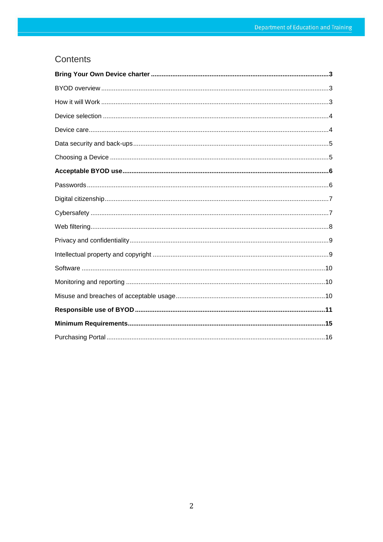# Contents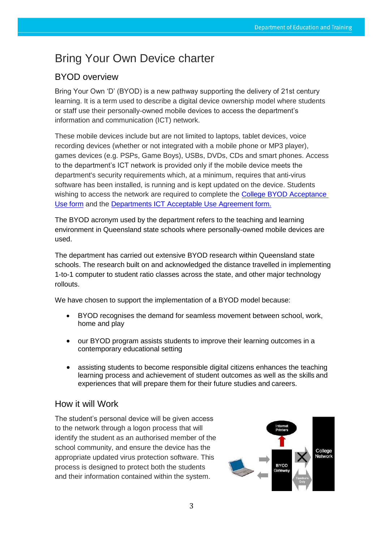# <span id="page-2-0"></span>Bring Your Own Device charter

# <span id="page-2-1"></span>BYOD overview

Bring Your Own 'D' (BYOD) is a new pathway supporting the delivery of 21st century learning. It is a term used to describe a digital device ownership model where students or staff use their personally-owned mobile devices to access the department's information and communication (ICT) network.

These mobile devices include but are not limited to laptops, tablet devices, voice recording devices (whether or not integrated with a mobile phone or MP3 player), games devices (e.g. PSPs, Game Boys), USBs, DVDs, CDs and smart phones. Access to the department's ICT network is provided only if the mobile device meets the department's security requirements which, at a minimum, requires that anti-virus software has been installed, is running and is kept updated on the device. Students wishing to access the network are required to complete the [College BYOD Acceptance](https://murrumbassc.eq.edu.au/Supportandresources/Formsanddocuments/Documents/BYOD%20Forms%20and%20Documents/murrumba_acu_policy_byod.pdf) Use [form](https://murrumbassc.eq.edu.au/Supportandresources/Formsanddocuments/Documents/BYOD%20Forms%20and%20Documents/murrumba_acu_policy_byod.pdf) and the [Departments ICT Acceptable Use Agreement](https://murrumbassc.eq.edu.au/Supportandresources/Formsanddocuments/Documents/ICT%20Forms%20and%20Documents/2-ict-acceptable-use-policy.pdf) form.

The BYOD acronym used by the department refers to the teaching and learning environment in Queensland state schools where personally-owned mobile devices are used.

The department has carried out extensive BYOD research within Queensland state schools. The research built on and acknowledged the distance travelled in implementing 1-to-1 computer to student ratio classes across the state, and other major technology rollouts.

We have chosen to support the implementation of a BYOD model because:

- BYOD recognises the demand for seamless movement between school, work, home and play
- our BYOD program assists students to improve their learning outcomes in a contemporary educational setting
- assisting students to become responsible digital citizens enhances the teaching learning process and achievement of student outcomes as well as the skills and experiences that will prepare them for their future studies and careers.

## <span id="page-2-2"></span>How it will Work

The student's personal device will be given access to the network through a logon process that will identify the student as an authorised member of the school community, and ensure the device has the appropriate updated virus protection software. This process is designed to protect both the students and their information contained within the system.

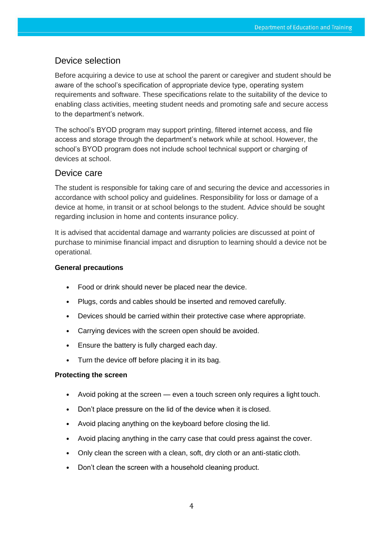## <span id="page-3-0"></span>Device selection

Before acquiring a device to use at school the parent or caregiver and student should be aware of the school's specification of appropriate device type, operating system requirements and software. These specifications relate to the suitability of the device to enabling class activities, meeting student needs and promoting safe and secure access to the department's network.

The school's BYOD program may support printing, filtered internet access, and file access and storage through the department's network while at school. However, the school's BYOD program does not include school technical support or charging of devices at school.

## <span id="page-3-1"></span>Device care

The student is responsible for taking care of and securing the device and accessories in accordance with school policy and guidelines. Responsibility for loss or damage of a device at home, in transit or at school belongs to the student. Advice should be sought regarding inclusion in home and contents insurance policy.

It is advised that accidental damage and warranty policies are discussed at point of purchase to minimise financial impact and disruption to learning should a device not be operational.

#### **General precautions**

- Food or drink should never be placed near the device.
- Plugs, cords and cables should be inserted and removed carefully.
- Devices should be carried within their protective case where appropriate.
- Carrying devices with the screen open should be avoided.
- Ensure the battery is fully charged each day.
- Turn the device off before placing it in its bag.

#### **Protecting the screen**

- Avoid poking at the screen even a touch screen only requires a light touch.
- Don't place pressure on the lid of the device when it is closed.
- Avoid placing anything on the keyboard before closing the lid.
- Avoid placing anything in the carry case that could press against the cover.
- Only clean the screen with a clean, soft, dry cloth or an anti-static cloth.
- Don't clean the screen with a household cleaning product.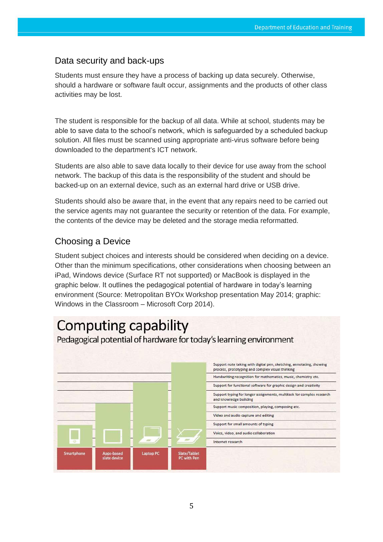# <span id="page-4-0"></span>Data security and back-ups

Students must ensure they have a process of backing up data securely. Otherwise, should a hardware or software fault occur, assignments and the products of other class activities may be lost.

The student is responsible for the backup of all data. While at school, students may be able to save data to the school's network, which is safeguarded by a scheduled backup solution. All files must be scanned using appropriate anti-virus software before being downloaded to the department's ICT network.

Students are also able to save data locally to their device for use away from the school network. The backup of this data is the responsibility of the student and should be backed-up on an external device, such as an external hard drive or USB drive.

Students should also be aware that, in the event that any repairs need to be carried out the service agents may not guarantee the security or retention of the data. For example, the contents of the device may be deleted and the storage media reformatted.

# <span id="page-4-1"></span>Choosing a Device

Student subject choices and interests should be considered when deciding on a device. Other than the minimum specifications, other considerations when choosing between an iPad, Windows device (Surface RT not supported) or MacBook is displayed in the graphic below. It outlines the pedagogical potential of hardware in today's learning environment (Source: Metropolitan BYOx Workshop presentation May 2014; graphic: Windows in the Classroom – Microsoft Corp 2014).

# **Computing capability**

Pedagogical potential of hardware for today's learning environment

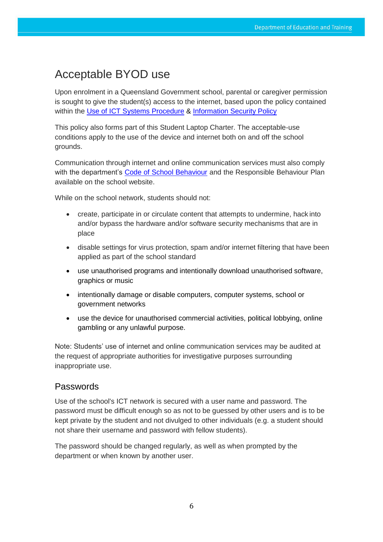# <span id="page-5-0"></span>Acceptable BYOD use

Upon enrolment in a Queensland Government school, parental or caregiver permission is sought to give the student(s) access to the internet, based upon the policy contained within the [Use of ICT Systems Procedure](https://ppr.qed.qld.gov.au/corp/ict/management/Procedure%20Attachments/use-of-ict-systems/use-of-ict-systems.pdf#search=use%20of%20ict%20systems) & [Information Security Policy](https://ppr.qed.qld.gov.au/pif/policies/Documents/Information%20Security%20Policy.pdf#search=information%20security%20policy)

This policy also forms part of this Student Laptop Charter. The acceptable-use conditions apply to the use of the device and internet both on and off the school grounds.

Communication through internet and online communication services must also comply with the department's [Code of School Behaviour](https://behaviour.education.qld.gov.au/procedures-guidelines-and-forms/student-code-of-conduct) and the Responsible Behaviour Plan available on the school website.

While on the school network, students should not:

- create, participate in or circulate content that attempts to undermine, hack into and/or bypass the hardware and/or software security mechanisms that are in place
- disable settings for virus protection, spam and/or internet filtering that have been applied as part of the school standard
- use unauthorised programs and intentionally download unauthorised software, graphics or music
- intentionally damage or disable computers, computer systems, school or government networks
- use the device for unauthorised commercial activities, political lobbying, online gambling or any unlawful purpose.

Note: Students' use of internet and online communication services may be audited at the request of appropriate authorities for investigative purposes surrounding inappropriate use.

## <span id="page-5-1"></span>Passwords

Use of the school's ICT network is secured with a user name and password. The password must be difficult enough so as not to be guessed by other users and is to be kept private by the student and not divulged to other individuals (e.g. a student should not share their username and password with fellow students).

The password should be changed regularly, as well as when prompted by the department or when known by another user.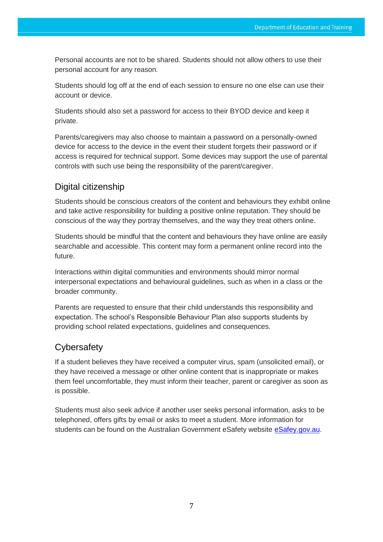Personal accounts are not to be shared. Students should not allow others to use their personal account for any reason.

Students should log off at the end of each session to ensure no one else can use their account or device.

Students should also set a password for access to their BYOD device and keep it private.

Parents/caregivers may also choose to maintain a password on a personally-owned device for access to the device in the event their student forgets their password or if access is required for technical support. Some devices may support the use of parental controls with such use being the responsibility of the parent/caregiver.

# <span id="page-6-0"></span>Digital citizenship

Students should be conscious creators of the content and behaviours they exhibit online and take active responsibility for building a positive online reputation. They should be conscious of the way they portray themselves, and the way they treat others online.

Students should be mindful that the content and behaviours they have online are easily searchable and accessible. This content may form a permanent online record into the future.

Interactions within digital communities and environments should mirror normal interpersonal expectations and behavioural guidelines, such as when in a class or the broader community.

Parents are requested to ensure that their child understands this responsibility and expectation. The school's Responsible Behaviour Plan also supports students by providing school related expectations, guidelines and consequences.

# <span id="page-6-1"></span>**Cybersafety**

If a student believes they have received a computer virus, spam (unsolicited email), or they have received a message or other online content that is inappropriate or makes them feel uncomfortable, they must inform their teacher, parent or caregiver as soon as is possible.

Students must also seek advice if another user seeks personal information, asks to be telephoned, offers gifts by email or asks to meet a student. More information for students can be found on the Australian Government eSafety website [eSafey.gov.au.](https://www.esafety.gov.au/)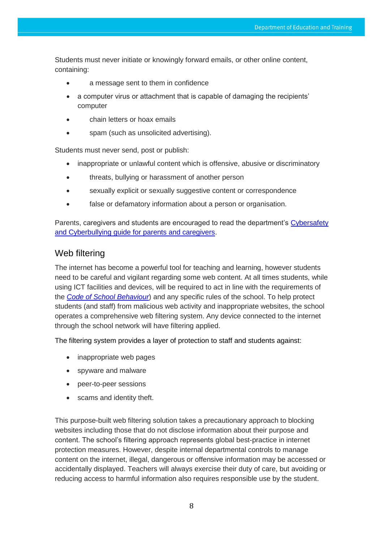Students must never initiate or knowingly forward emails, or other online content, containing:

- a message sent to them in confidence
- a computer virus or attachment that is capable of damaging the recipients' computer
- chain letters or hoax emails
- spam (such as unsolicited advertising).

Students must never send, post or publish:

- inappropriate or unlawful content which is offensive, abusive or discriminatory
- threats, bullying or harassment of another person
- sexually explicit or sexually suggestive content or correspondence
- false or defamatory information about a person or organisation.

Parents, caregivers and students are encouraged to read the department's [Cybersafety](https://murrumbassc.eq.edu.au/SupportAndResources/FormsAndDocuments/Documents/BYOD%20Forms%20and%20Documents/cyberbullying-cybersafetyprintfriendlyguide.pdf) [and Cyberbullying guide for parents and caregivers.](http://education.qld.gov.au/studentservices/behaviour/qsaav/docs/cyberbullying-cybersafetyprintfriendlyguide.pdf)

## <span id="page-7-0"></span>Web filtering

The internet has become a powerful tool for teaching and learning, however students need to be careful and vigilant regarding some web content. At all times students, while using ICT facilities and devices, will be required to act in line with the requirements of the *[Code of School Behaviour](https://behaviour.education.qld.gov.au/procedures-guidelines-and-forms/student-code-of-conduct)*) and any specific rules of the school. To help protect students (and staff) from malicious web activity and inappropriate websites, the school operates a comprehensive web filtering system. Any device connected to the internet through the school network will have filtering applied.

The filtering system provides a layer of protection to staff and students against:

- inappropriate web pages
- spyware and malware
- peer-to-peer sessions
- scams and identity theft.

This purpose-built web filtering solution takes a precautionary approach to blocking websites including those that do not disclose information about their purpose and content. The school's filtering approach represents global best-practice in internet protection measures. However, despite internal departmental controls to manage content on the internet, illegal, dangerous or offensive information may be accessed or accidentally displayed. Teachers will always exercise their duty of care, but avoiding or reducing access to harmful information also requires responsible use by the student.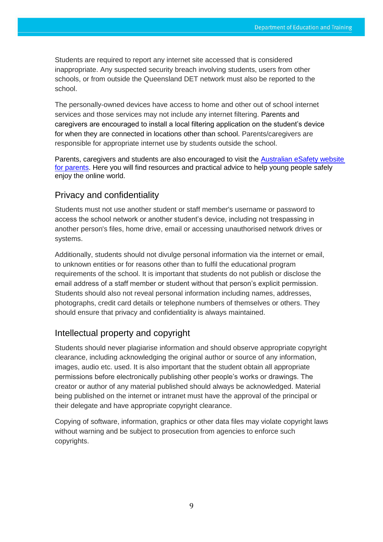Students are required to report any internet site accessed that is considered inappropriate. Any suspected security breach involving students, users from other schools, or from outside the Queensland DET network must also be reported to the school.

The personally-owned devices have access to home and other out of school internet services and those services may not include any internet filtering. Parents and caregivers are encouraged to install a local filtering application on the student's device for when they are connected in locations other than school. Parents/caregivers are responsible for appropriate internet use by students outside the school.

Parents, caregivers and students are also encouraged to visit the Australian eSafety website [for parents.](https://www.esafety.gov.au/parents) Here you will find resources and practical advice to help young people safely enjoy the online world.

# <span id="page-8-0"></span>Privacy and confidentiality

Students must not use another student or staff member's username or password to access the school network or another student's device, including not trespassing in another person's files, home drive, email or accessing unauthorised network drives or systems.

Additionally, students should not divulge personal information via the internet or email, to unknown entities or for reasons other than to fulfil the educational program requirements of the school. It is important that students do not publish or disclose the email address of a staff member or student without that person's explicit permission. Students should also not reveal personal information including names, addresses, photographs, credit card details or telephone numbers of themselves or others. They should ensure that privacy and confidentiality is always maintained.

# <span id="page-8-1"></span>Intellectual property and copyright

Students should never plagiarise information and should observe appropriate copyright clearance, including acknowledging the original author or source of any information, images, audio etc. used. It is also important that the student obtain all appropriate permissions before electronically publishing other people's works or drawings. The creator or author of any material published should always be acknowledged. Material being published on the internet or intranet must have the approval of the principal or their delegate and have appropriate copyright clearance.

Copying of software, information, graphics or other data files may violate copyright laws without warning and be subject to prosecution from agencies to enforce such copyrights.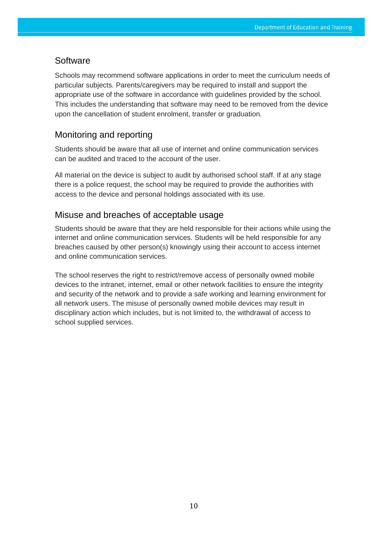#### <span id="page-9-0"></span>**Software**

Schools may recommend software applications in order to meet the curriculum needs of particular subjects. Parents/caregivers may be required to install and support the appropriate use of the software in accordance with guidelines provided by the school. This includes the understanding that software may need to be removed from the device upon the cancellation of student enrolment, transfer or graduation.

## <span id="page-9-1"></span>Monitoring and reporting

Students should be aware that all use of internet and online communication services can be audited and traced to the account of the user.

All material on the device is subject to audit by authorised school staff. If at any stage there is a police request, the school may be required to provide the authorities with access to the device and personal holdings associated with its use.

## <span id="page-9-2"></span>Misuse and breaches of acceptable usage

Students should be aware that they are held responsible for their actions while using the internet and online communication services. Students will be held responsible for any breaches caused by other person(s) knowingly using their account to access internet and online communication services.

The school reserves the right to restrict/remove access of personally owned mobile devices to the intranet, internet, email or other network facilities to ensure the integrity and security of the network and to provide a safe working and learning environment for all network users. The misuse of personally owned mobile devices may result in disciplinary action which includes, but is not limited to, the withdrawal of access to school supplied services.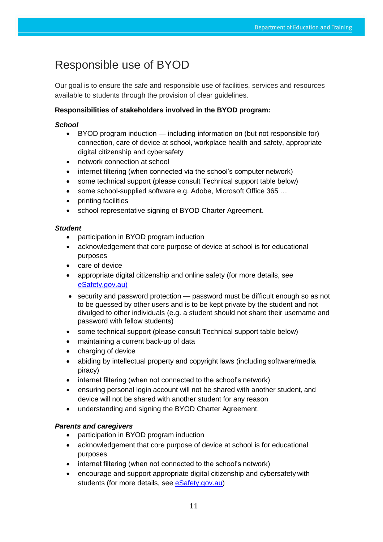# <span id="page-10-0"></span>Responsible use of BYOD

Our goal is to ensure the safe and responsible use of facilities, services and resources available to students through the provision of clear guidelines.

## **Responsibilities of stakeholders involved in the BYOD program:**

#### *School*

- BYOD program induction including information on (but not responsible for) connection, care of device at school, workplace health and safety, appropriate digital citizenship and cybersafety
- network connection at school
- internet filtering (when connected via the school's computer network)
- some technical support (please consult Technical support table below)
- some school-supplied software e.g. Adobe, Microsoft Office 365 …
- printing facilities
- school representative signing of BYOD Charter Agreement.

#### *Student*

- participation in BYOD program induction
- acknowledgement that core purpose of device at school is for educational purposes
- care of device
- appropriate digital citizenship and online safety (for more details, see [eSafety.gov.au\)](https://www.esafety.gov.au/kids)
- security and password protection password must be difficult enough so as not to be guessed by other users and is to be kept private by the student and not divulged to other individuals (e.g. a student should not share their username and password with fellow students)
- some technical support (please consult Technical support table below)
- maintaining a current back-up of data
- charging of device
- abiding by intellectual property and copyright laws (including software/media piracy)
- internet filtering (when not connected to the school's network)
- ensuring personal login account will not be shared with another student, and device will not be shared with another student for any reason
- understanding and signing the BYOD Charter Agreement.

#### *Parents and caregivers*

- participation in BYOD program induction
- acknowledgement that core purpose of device at school is for educational purposes
- internet filtering (when not connected to the school's network)
- encourage and support appropriate digital citizenship and cybersafety with students (for more details, see [eSafety.gov.au\)](https://www.esafety.gov.au/parents)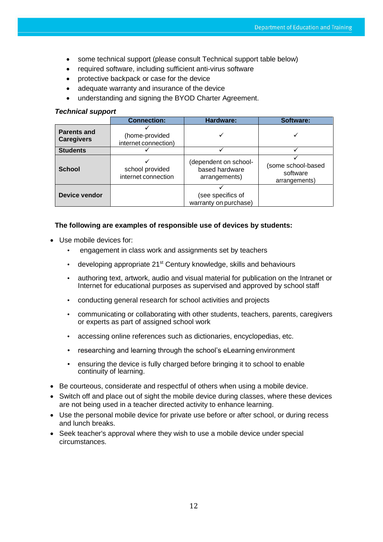- some technical support (please consult Technical support table below)
- required software, including sufficient anti-virus software
- protective backpack or case for the device
- adequate warranty and insurance of the device
- understanding and signing the BYOD Charter Agreement.

#### *Technical support*

|                                         | <b>Connection:</b>                     | Hardware:                                                | Software:                                       |
|-----------------------------------------|----------------------------------------|----------------------------------------------------------|-------------------------------------------------|
| <b>Parents and</b><br><b>Caregivers</b> | (home-provided<br>internet connection) |                                                          |                                                 |
| <b>Students</b>                         |                                        |                                                          |                                                 |
| <b>School</b>                           | school provided<br>internet connection | (dependent on school-<br>based hardware<br>arrangements) | (some school-based<br>software<br>arrangements) |
| Device vendor                           |                                        | (see specifics of<br>warranty on purchase)               |                                                 |

#### **The following are examples of responsible use of devices by students:**

- Use mobile devices for:
	- engagement in class work and assignments set by teachers
	- developing appropriate 21<sup>st</sup> Century knowledge, skills and behaviours
	- authoring text, artwork, audio and visual material for publication on the Intranet or Internet for educational purposes as supervised and approved by school staff
	- conducting general research for school activities and projects
	- communicating or collaborating with other students, teachers, parents, caregivers or experts as part of assigned school work
	- accessing online references such as dictionaries, encyclopedias, etc.
	- researching and learning through the school's eLearning environment
	- ensuring the device is fully charged before bringing it to school to enable continuity of learning.
- Be courteous, considerate and respectful of others when using a mobile device.
- Switch off and place out of sight the mobile device during classes, where these devices are not being used in a teacher directed activity to enhance learning.
- Use the personal mobile device for private use before or after school, or during recess and lunch breaks.
- Seek teacher's approval where they wish to use a mobile device under special circumstances.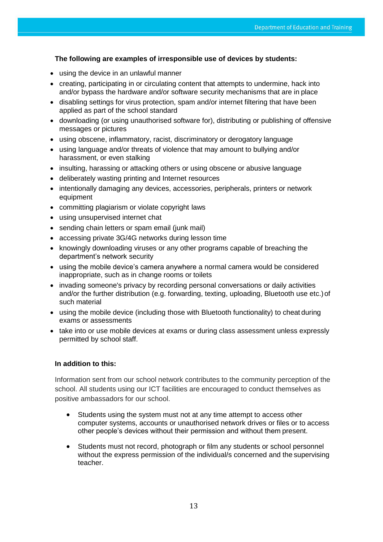#### **The following are examples of irresponsible use of devices by students:**

- using the device in an unlawful manner
- creating, participating in or circulating content that attempts to undermine, hack into and/or bypass the hardware and/or software security mechanisms that are in place
- disabling settings for virus protection, spam and/or internet filtering that have been applied as part of the school standard
- downloading (or using unauthorised software for), distributing or publishing of offensive messages or pictures
- using obscene, inflammatory, racist, discriminatory or derogatory language
- using language and/or threats of violence that may amount to bullying and/or harassment, or even stalking
- insulting, harassing or attacking others or using obscene or abusive language
- deliberately wasting printing and Internet resources
- intentionally damaging any devices, accessories, peripherals, printers or network equipment
- committing plagiarism or violate copyright laws
- using unsupervised internet chat
- sending chain letters or spam email (junk mail)
- accessing private 3G/4G networks during lesson time
- knowingly downloading viruses or any other programs capable of breaching the department's network security
- using the mobile device's camera anywhere a normal camera would be considered inappropriate, such as in change rooms or toilets
- invading someone's privacy by recording personal conversations or daily activities and/or the further distribution (e.g. forwarding, texting, uploading, Bluetooth use etc.)of such material
- using the mobile device (including those with Bluetooth functionality) to cheat during exams or assessments
- take into or use mobile devices at exams or during class assessment unless expressly permitted by school staff.

#### **In addition to this:**

Information sent from our school network contributes to the community perception of the school. All students using our ICT facilities are encouraged to conduct themselves as positive ambassadors for our school.

- Students using the system must not at any time attempt to access other computer systems, accounts or unauthorised network drives or files or to access other people's devices without their permission and without them present.
- Students must not record, photograph or film any students or school personnel without the express permission of the individual/s concerned and the supervising teacher.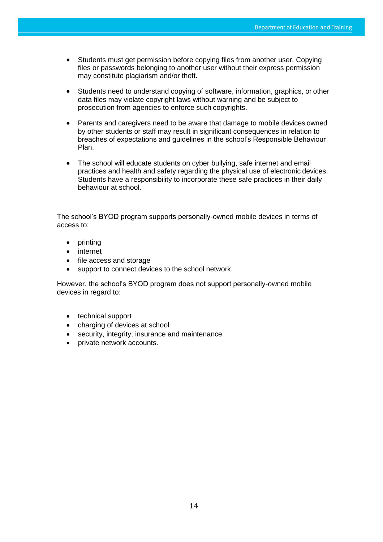- Students must get permission before copying files from another user. Copying files or passwords belonging to another user without their express permission may constitute plagiarism and/or theft.
- Students need to understand copying of software, information, graphics, or other data files may violate copyright laws without warning and be subject to prosecution from agencies to enforce such copyrights.
- Parents and caregivers need to be aware that damage to mobile devices owned by other students or staff may result in significant consequences in relation to breaches of expectations and guidelines in the school's Responsible Behaviour Plan.
- The school will educate students on cyber bullying, safe internet and email practices and health and safety regarding the physical use of electronic devices. Students have a responsibility to incorporate these safe practices in their daily behaviour at school.

The school's BYOD program supports personally-owned mobile devices in terms of access to:

- printing
- internet
- file access and storage
- support to connect devices to the school network.

However, the school's BYOD program does not support personally-owned mobile devices in regard to:

- technical support
- charging of devices at school
- security, integrity, insurance and maintenance
- private network accounts.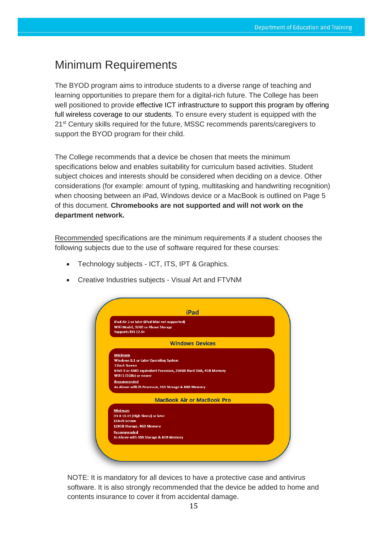# <span id="page-14-0"></span>Minimum Requirements

The BYOD program aims to introduce students to a diverse range of teaching and learning opportunities to prepare them for a digital-rich future. The College has been well positioned to provide effective ICT infrastructure to support this program by offering full wireless coverage to our students. To ensure every student is equipped with the 21<sup>st</sup> Century skills required for the future, MSSC recommends parents/caregivers to support the BYOD program for their child.

The College recommends that a device be chosen that meets the minimum specifications below and enables suitability for curriculum based activities. Student subject choices and interests should be considered when deciding on a device. Other considerations (for example: amount of typing, multitasking and handwriting recognition) when choosing between an iPad, Windows device or a MacBook is outlined on Page 5 of this document. **Chromebooks are not supported and will not work on the department network.**

Recommended specifications are the minimum requirements if a student chooses the following subjects due to the use of software required for these courses:

- Technology subjects ICT, ITS, IPT & Graphics.
- Creative Industries subjects Visual Art and FTVNM

|                                                                                                          | iPad                              |  |
|----------------------------------------------------------------------------------------------------------|-----------------------------------|--|
| iPad Air 2 or later (iPad Mini not supported)<br>WiFi Model, 32GB or Above Storage<br>Supports iOS 12.6+ |                                   |  |
|                                                                                                          | <b>Windows Devices</b>            |  |
| <b>Minimum</b>                                                                                           |                                   |  |
| <b>Windows 8.1 or Later Operating System</b>                                                             |                                   |  |
| <b>11inch Screen</b>                                                                                     |                                   |  |
| Intel i3 or AMD equivalent Processor, 256GB Hard Disk, 4GB Memory<br>WiFi 5 (5GHz) or newer              |                                   |  |
| <b>Recommended</b>                                                                                       |                                   |  |
| As Above with i5 Processor, SSD Storage & 8GB Memory                                                     |                                   |  |
|                                                                                                          | <b>MacBook Air or MacBook Pro</b> |  |
| <b>Minimum</b>                                                                                           |                                   |  |
| OS X 10.13 (High Sierra) or later                                                                        |                                   |  |
| <b>11inch Screen</b>                                                                                     |                                   |  |
| 128GB Storage, 4GB Memory                                                                                |                                   |  |
| Recommended<br>As Above with SSD Storage & 8GB Memory                                                    |                                   |  |
|                                                                                                          |                                   |  |

NOTE: It is mandatory for all devices to have a protective case and antivirus software. It is also strongly recommended that the device be added to home and contents insurance to cover it from accidental damage.